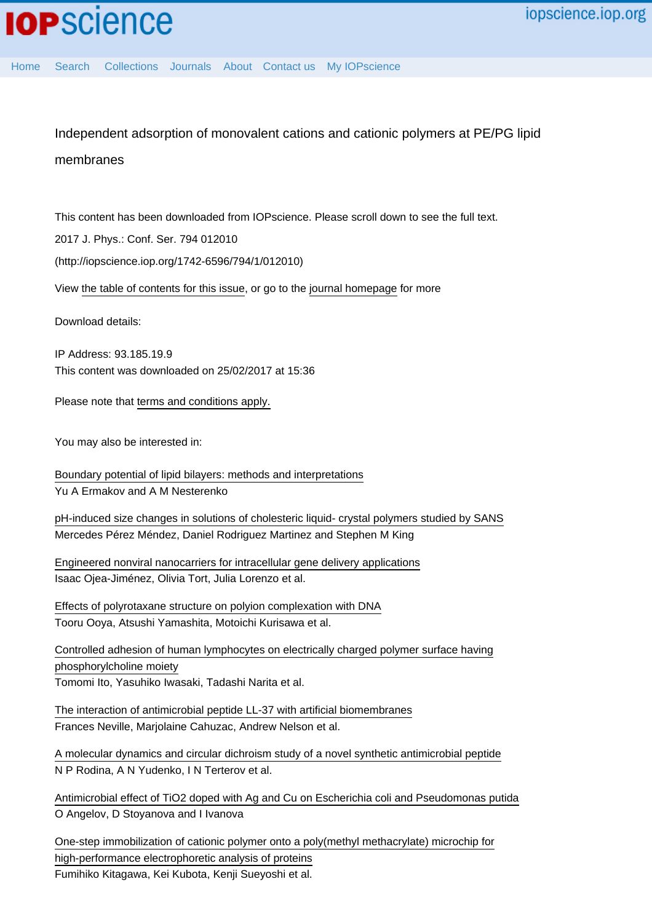# Independent adsorption of monovalent cations and cationic polymers at PE/PG lipid membranes

This content has been downloaded from IOPscience. Please scroll down to see the full text.

2017 J. Phys.: Conf. Ser. 794 012010

(http://iopscience.iop.org/1742-6596/794/1/012010)

View [the table of contents for this issue](http://iopscience.iop.org/1742-6596/794/1), or go to the [journal homepage](http://iopscience.iop.org/1742-6596) for more

Download details:

IP Address: 93.185.19.9 This content was downloaded on 25/02/2017 at 15:36

Please note that [terms and conditions apply.](http://iopscience.iop.org/page/terms)

You may also be interested in:

[Boundary potential of lipid bilayers: methods and interpretations](http://iopscience.iop.org/article/10.1088/1742-6596/780/1/012002) Yu A Ermakov and A M Nesterenko

[pH-induced size changes in solutions of cholesteric liquid- crystal polymers studied by SANS](http://iopscience.iop.org/article/10.1088/1742-6596/554/1/012011) Mercedes Pérez Méndez, Daniel Rodriguez Martinez and Stephen M King

[Engineered nonviral nanocarriers for intracellular gene delivery applications](http://iopscience.iop.org/article/10.1088/1748-6041/7/5/054106) Isaac Ojea-Jiménez, Olivia Tort, Julia Lorenzo et al.

[Effects of polyrotaxane structure on polyion complexation with DNA](http://iopscience.iop.org/article/10.1016/j.stam.2003.12.014) Tooru Ooya, Atsushi Yamashita, Motoichi Kurisawa et al.

[Controlled adhesion of human lymphocytes on electrically charged polymer surface having](http://iopscience.iop.org/article/10.1016/S1468-6996(03)00014-7) [phosphorylcholine moiety](http://iopscience.iop.org/article/10.1016/S1468-6996(03)00014-7) Tomomi Ito, Yasuhiko Iwasaki, Tadashi Narita et al.

[The interaction of antimicrobial peptide LL-37 with artificial biomembranes](http://iopscience.iop.org/article/10.1088/0953-8984/16/26/014) Frances Neville, Marjolaine Cahuzac, Andrew Nelson et al.

[A molecular dynamics and circular dichroism study of a novel synthetic antimicrobial peptide](http://iopscience.iop.org/article/10.1088/1742-6596/461/1/012015) N P Rodina, A N Yudenko, I N Terterov et al.

[Antimicrobial effect of TiO2 doped with Ag and Cu on Escherichia coli and Pseudomonas putida](http://iopscience.iop.org/article/10.1088/1742-6596/764/1/012014) O Angelov, D Stoyanova and I Ivanova

[One-step immobilization of cationic polymer onto a poly\(methyl methacrylate\) microchip for](http://iopscience.iop.org/article/10.1016/j.stam.2006.02.021) [high-performance electrophoretic analysis of proteins](http://iopscience.iop.org/article/10.1016/j.stam.2006.02.021) Fumihiko Kitagawa, Kei Kubota, Kenji Sueyoshi et al.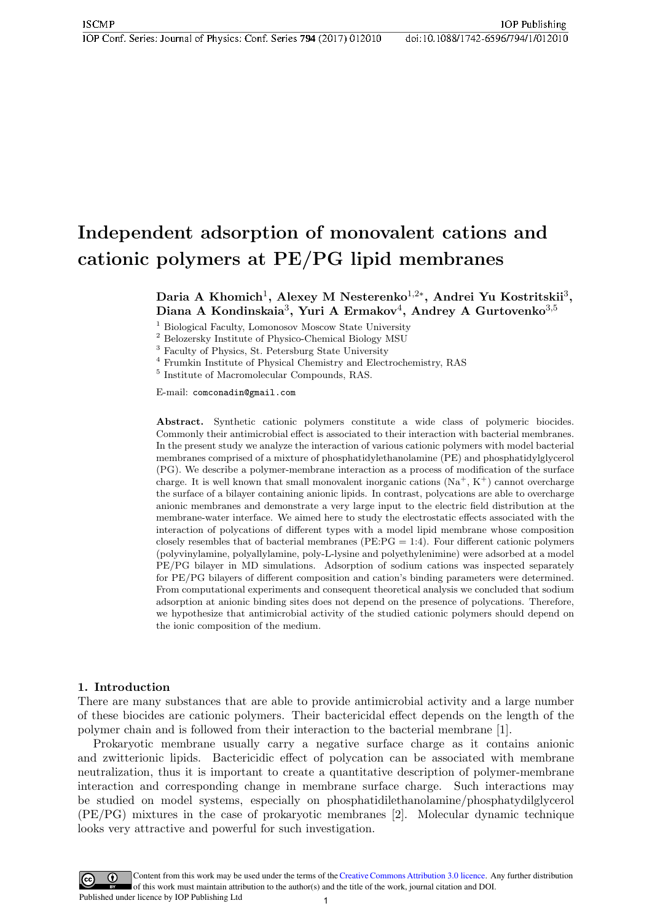# Independent adsorption of monovalent cations and cationic polymers at PE/PG lipid membranes

Daria A Khomich<sup>1</sup>, Alexey M Nesterenko<sup>1,2\*</sup>, Andrei Yu Kostritskii<sup>3</sup>, Diana A Kondinskaia<sup>3</sup>, Yuri A Ermakov<sup>4</sup>, Andrey A Gurtovenko<sup>3,5</sup>

<sup>1</sup> Biological Faculty, Lomonosov Moscow State University

<sup>2</sup> Belozersky Institute of Physico-Chemical Biology MSU

<sup>3</sup> Faculty of Physics, St. Petersburg State University

<sup>4</sup> Frumkin Institute of Physical Chemistry and Electrochemistry, RAS

5 Institute of Macromolecular Compounds, RAS.

E-mail: comconadin@gmail.com

Abstract. Synthetic cationic polymers constitute a wide class of polymeric biocides. Commonly their antimicrobial effect is associated to their interaction with bacterial membranes. In the present study we analyze the interaction of various cationic polymers with model bacterial membranes comprised of a mixture of phosphatidylethanolamine (PE) and phosphatidylglycerol (PG). We describe a polymer-membrane interaction as a process of modification of the surface charge. It is well known that small monovalent inorganic cations  $(Na^+, K^+)$  cannot overcharge the surface of a bilayer containing anionic lipids. In contrast, polycations are able to overcharge anionic membranes and demonstrate a very large input to the electric field distribution at the membrane-water interface. We aimed here to study the electrostatic effects associated with the interaction of polycations of different types with a model lipid membrane whose composition closely resembles that of bacterial membranes ( $PE:PG = 1:4$ ). Four different cationic polymers (polyvinylamine, polyallylamine, poly-L-lysine and polyethylenimine) were adsorbed at a model PE/PG bilayer in MD simulations. Adsorption of sodium cations was inspected separately for PE/PG bilayers of different composition and cation's binding parameters were determined. From computational experiments and consequent theoretical analysis we concluded that sodium adsorption at anionic binding sites does not depend on the presence of polycations. Therefore, we hypothesize that antimicrobial activity of the studied cationic polymers should depend on the ionic composition of the medium.

#### 1. Introduction

There are many substances that are able to provide antimicrobial activity and a large number of these biocides are cationic polymers. Their bactericidal effect depends on the length of the polymer chain and is followed from their interaction to the bacterial membrane [1].

Prokaryotic membrane usually carry a negative surface charge as it contains anionic and zwitterionic lipids. Bactericidic effect of polycation can be associated with membrane neutralization, thus it is important to create a quantitative description of polymer-membrane interaction and corresponding change in membrane surface charge. Such interactions may be studied on model systems, especially on phosphatidilethanolamine/phosphatydilglycerol (PE/PG) mixtures in the case of prokaryotic membranes [2]. Molecular dynamic technique looks very attractive and powerful for such investigation.

Content from this work may be used under the terms of th[eCreative Commons Attribution 3.0 licence](http://creativecommons.org/licenses/by/3.0). Any further distribution  $\left(\mathrm{cc}\right)$ of this work must maintain attribution to the author(s) and the title of the work, journal citation and DOI.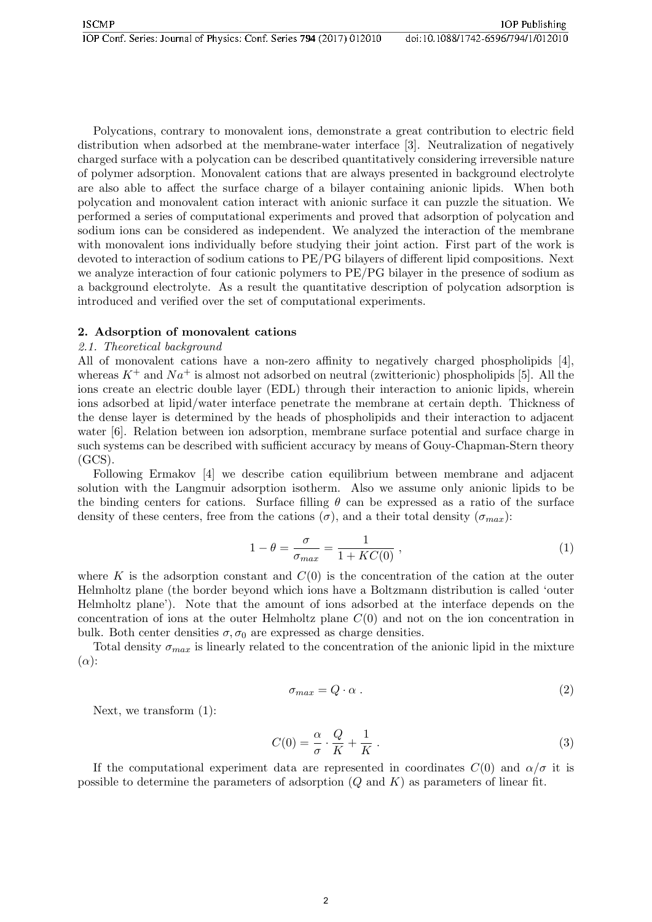Polycations, contrary to monovalent ions, demonstrate a great contribution to electric field distribution when adsorbed at the membrane-water interface [3]. Neutralization of negatively charged surface with a polycation can be described quantitatively considering irreversible nature of polymer adsorption. Monovalent cations that are always presented in background electrolyte are also able to affect the surface charge of a bilayer containing anionic lipids. When both polycation and monovalent cation interact with anionic surface it can puzzle the situation. We performed a series of computational experiments and proved that adsorption of polycation and sodium ions can be considered as independent. We analyzed the interaction of the membrane with monovalent ions individually before studying their joint action. First part of the work is devoted to interaction of sodium cations to PE/PG bilayers of different lipid compositions. Next we analyze interaction of four cationic polymers to PE/PG bilayer in the presence of sodium as a background electrolyte. As a result the quantitative description of polycation adsorption is introduced and verified over the set of computational experiments.

## 2. Adsorption of monovalent cations

## 2.1. Theoretical background

All of monovalent cations have a non-zero affinity to negatively charged phospholipids [4], whereas  $K^+$  and  $Na^+$  is almost not adsorbed on neutral (zwitterionic) phospholipids [5]. All the ions create an electric double layer (EDL) through their interaction to anionic lipids, wherein ions adsorbed at lipid/water interface penetrate the membrane at certain depth. Thickness of the dense layer is determined by the heads of phospholipids and their interaction to adjacent water [6]. Relation between ion adsorption, membrane surface potential and surface charge in such systems can be described with sufficient accuracy by means of Gouy-Chapman-Stern theory  $(GCS)$ .

Following Ermakov [4] we describe cation equilibrium between membrane and adjacent solution with the Langmuir adsorption isotherm. Also we assume only anionic lipids to be the binding centers for cations. Surface filling  $\theta$  can be expressed as a ratio of the surface density of these centers, free from the cations  $(\sigma)$ , and a their total density  $(\sigma_{max})$ :

$$
1 - \theta = \frac{\sigma}{\sigma_{max}} = \frac{1}{1 + KC(0)} , \qquad (1)
$$

where K is the adsorption constant and  $C(0)$  is the concentration of the cation at the outer Helmholtz plane (the border beyond which ions have a Boltzmann distribution is called 'outer Helmholtz plane'). Note that the amount of ions adsorbed at the interface depends on the concentration of ions at the outer Helmholtz plane  $C(0)$  and not on the ion concentration in bulk. Both center densities  $\sigma$ ,  $\sigma_0$  are expressed as charge densities.

Total density  $\sigma_{max}$  is linearly related to the concentration of the anionic lipid in the mixture  $(\alpha)$ :

$$
\sigma_{max} = Q \cdot \alpha \tag{2}
$$

Next, we transform (1):

$$
C(0) = \frac{\alpha}{\sigma} \cdot \frac{Q}{K} + \frac{1}{K} \,. \tag{3}
$$

If the computational experiment data are represented in coordinates  $C(0)$  and  $\alpha/\sigma$  it is possible to determine the parameters of adsorption  $(Q \text{ and } K)$  as parameters of linear fit.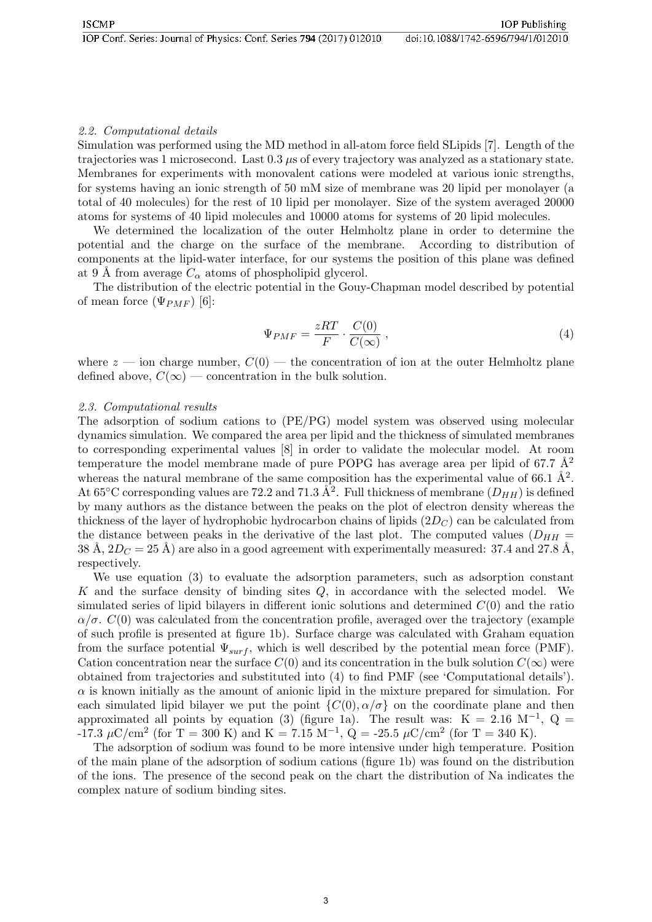# 2.2. Computational details

Simulation was performed using the MD method in all-atom force field SLipids [7]. Length of the trajectories was 1 microsecond. Last 0.3 µs of every trajectory was analyzed as a stationary state. Membranes for experiments with monovalent cations were modeled at various ionic strengths, for systems having an ionic strength of 50 mM size of membrane was 20 lipid per monolayer (a total of 40 molecules) for the rest of 10 lipid per monolayer. Size of the system averaged 20000 atoms for systems of 40 lipid molecules and 10000 atoms for systems of 20 lipid molecules.

We determined the localization of the outer Helmholtz plane in order to determine the potential and the charge on the surface of the membrane. According to distribution of components at the lipid-water interface, for our systems the position of this plane was defined at 9 Å from average  $C_{\alpha}$  atoms of phospholipid glycerol.

The distribution of the electric potential in the Gouy-Chapman model described by potential of mean force  $(\Psi_{PMF})$  [6]:

$$
\Psi_{PMF} = \frac{zRT}{F} \cdot \frac{C(0)}{C(\infty)},\tag{4}
$$

where  $z$  — ion charge number,  $C(0)$  — the concentration of ion at the outer Helmholtz plane defined above,  $C(\infty)$  — concentration in the bulk solution.

#### 2.3. Computational results

The adsorption of sodium cations to (PE/PG) model system was observed using molecular dynamics simulation. We compared the area per lipid and the thickness of simulated membranes to corresponding experimental values [8] in order to validate the molecular model. At room temperature the model membrane made of pure POPG has average area per lipid of 67.7  $\AA^2$ whereas the natural membrane of the same composition has the experimental value of 66.1  $\AA^2$ . At 65<sup>o</sup>C corresponding values are 72.2 and 71.3  $\AA^2$ . Full thickness of membrane  $(D_{HH})$  is defined by many authors as the distance between the peaks on the plot of electron density whereas the thickness of the layer of hydrophobic hydrocarbon chains of lipids  $(2D_C)$  can be calculated from the distance between peaks in the derivative of the last plot. The computed values  $(D_{HH} =$ 38 Å,  $2D_C = 25$  Å) are also in a good agreement with experimentally measured: 37.4 and 27.8 Å, respectively.

We use equation (3) to evaluate the adsorption parameters, such as adsorption constant K and the surface density of binding sites Q, in accordance with the selected model. We simulated series of lipid bilayers in different ionic solutions and determined  $C(0)$  and the ratio  $\alpha/\sigma$ .  $C(0)$  was calculated from the concentration profile, averaged over the trajectory (example of such profile is presented at figure 1b). Surface charge was calculated with Graham equation from the surface potential  $\Psi_{surf}$ , which is well described by the potential mean force (PMF). Cation concentration near the surface  $C(0)$  and its concentration in the bulk solution  $C(\infty)$  were obtained from trajectories and substituted into (4) to find PMF (see 'Computational details').  $\alpha$  is known initially as the amount of anionic lipid in the mixture prepared for simulation. For each simulated lipid bilayer we put the point  $\{C(0), \alpha/\sigma\}$  on the coordinate plane and then approximated all points by equation (3) (figure 1a). The result was: K = 2.16 M<sup>-1</sup>, Q = -17.3  $\mu$ C/cm<sup>2</sup> (for T = 300 K) and K = 7.15 M<sup>-1</sup>, Q = -25.5  $\mu$ C/cm<sup>2</sup> (for T = 340 K).

The adsorption of sodium was found to be more intensive under high temperature. Position of the main plane of the adsorption of sodium cations (figure 1b) was found on the distribution of the ions. The presence of the second peak on the chart the distribution of Na indicates the complex nature of sodium binding sites.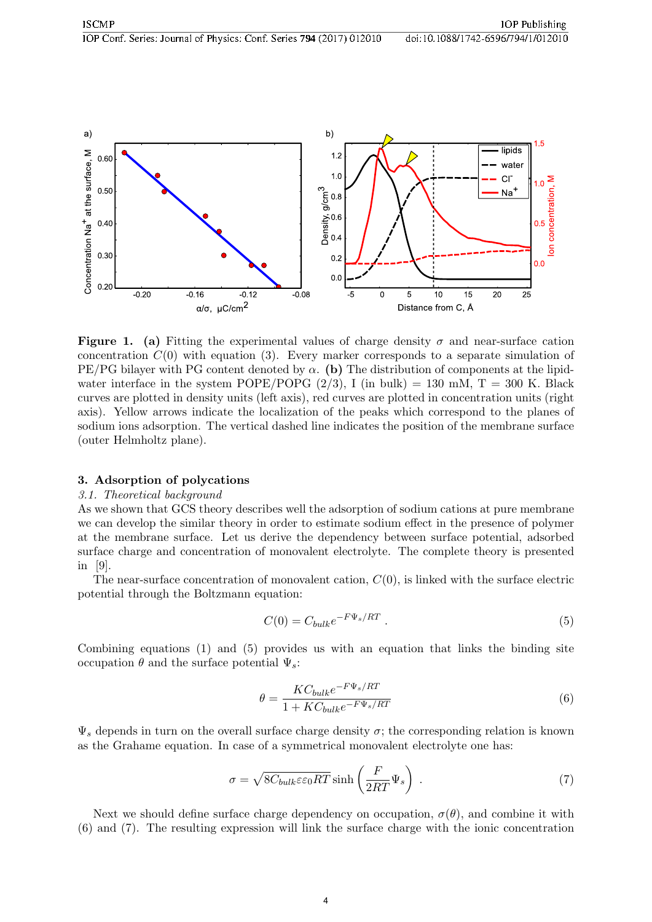

**Figure 1.** (a) Fitting the experimental values of charge density  $\sigma$  and near-surface cation concentration  $C(0)$  with equation (3). Every marker corresponds to a separate simulation of PE/PG bilayer with PG content denoted by  $\alpha$ . (b) The distribution of components at the lipidwater interface in the system POPE/POPG  $(2/3)$ , I (in bulk) = 130 mM, T = 300 K. Black curves are plotted in density units (left axis), red curves are plotted in concentration units (right axis). Yellow arrows indicate the localization of the peaks which correspond to the planes of sodium ions adsorption. The vertical dashed line indicates the position of the membrane surface (outer Helmholtz plane).

#### 3. Adsorption of polycations

#### 3.1. Theoretical background

As we shown that GCS theory describes well the adsorption of sodium cations at pure membrane we can develop the similar theory in order to estimate sodium effect in the presence of polymer at the membrane surface. Let us derive the dependency between surface potential, adsorbed surface charge and concentration of monovalent electrolyte. The complete theory is presented in [9].

The near-surface concentration of monovalent cation,  $C(0)$ , is linked with the surface electric potential through the Boltzmann equation:

$$
C(0) = C_{bulk}e^{-F\Psi_s/RT}.
$$
\n
$$
(5)
$$

Combining equations (1) and (5) provides us with an equation that links the binding site occupation  $θ$  and the surface potential  $\Psi_s$ :

$$
\theta = \frac{KC_{bulk}e^{-F\Psi_s/RT}}{1 + KC_{bulk}e^{-F\Psi_s/RT}}
$$
\n(6)

 $\Psi_s$  depends in turn on the overall surface charge density  $\sigma$ ; the corresponding relation is known as the Grahame equation. In case of a symmetrical monovalent electrolyte one has:

$$
\sigma = \sqrt{8C_{bulk}\varepsilon\varepsilon_0 RT} \sinh\left(\frac{F}{2RT}\Psi_s\right) \,. \tag{7}
$$

Next we should define surface charge dependency on occupation,  $\sigma(\theta)$ , and combine it with (6) and (7). The resulting expression will link the surface charge with the ionic concentration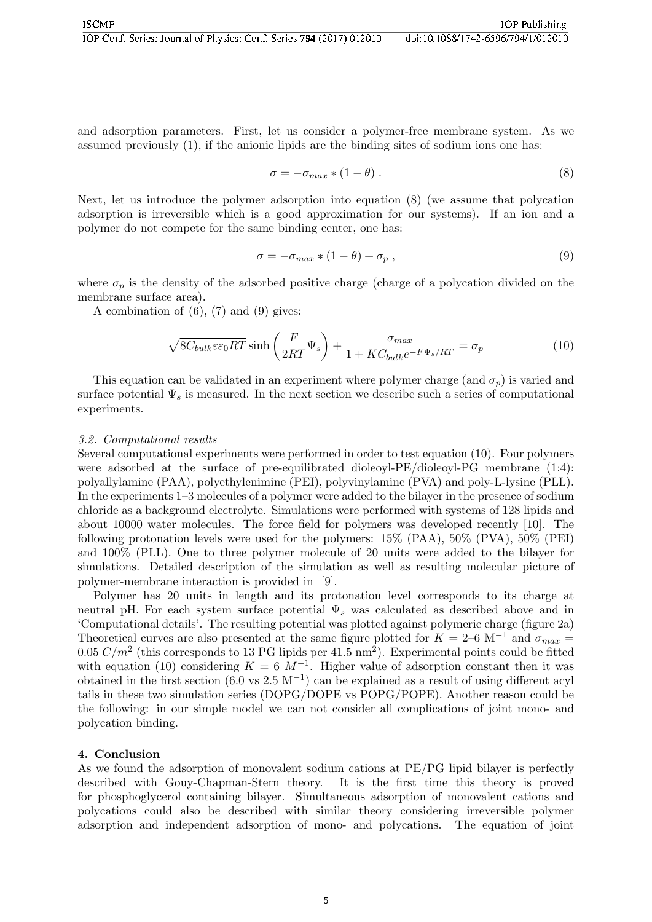and adsorption parameters. First, let us consider a polymer-free membrane system. As we assumed previously (1), if the anionic lipids are the binding sites of sodium ions one has:

$$
\sigma = -\sigma_{max} * (1 - \theta) . \tag{8}
$$

Next, let us introduce the polymer adsorption into equation (8) (we assume that polycation adsorption is irreversible which is a good approximation for our systems). If an ion and a polymer do not compete for the same binding center, one has:

$$
\sigma = -\sigma_{max} * (1 - \theta) + \sigma_p , \qquad (9)
$$

where  $\sigma_p$  is the density of the adsorbed positive charge (charge of a polycation divided on the membrane surface area).

A combination of  $(6)$ ,  $(7)$  and  $(9)$  gives:

$$
\sqrt{8C_{bulk}\varepsilon\varepsilon_0 RT} \sinh\left(\frac{F}{2RT}\Psi_s\right) + \frac{\sigma_{max}}{1 + KC_{bulk}e^{-F\Psi_s/RT}} = \sigma_p \tag{10}
$$

This equation can be validated in an experiment where polymer charge (and  $\sigma_p$ ) is varied and surface potential  $\Psi_s$  is measured. In the next section we describe such a series of computational experiments.

#### 3.2. Computational results

Several computational experiments were performed in order to test equation (10). Four polymers were adsorbed at the surface of pre-equilibrated dioleoyl-PE/dioleoyl-PG membrane (1:4): polyallylamine (PAA), polyethylenimine (PEI), polyvinylamine (PVA) and poly-L-lysine (PLL). In the experiments 1–3 molecules of a polymer were added to the bilayer in the presence of sodium chloride as a background electrolyte. Simulations were performed with systems of 128 lipids and about 10000 water molecules. The force field for polymers was developed recently [10]. The following protonation levels were used for the polymers: 15% (PAA), 50% (PVA), 50% (PEI) and 100% (PLL). One to three polymer molecule of 20 units were added to the bilayer for simulations. Detailed description of the simulation as well as resulting molecular picture of polymer-membrane interaction is provided in [9].

Polymer has 20 units in length and its protonation level corresponds to its charge at neutral pH. For each system surface potential  $\Psi_s$  was calculated as described above and in 'Computational details'. The resulting potential was plotted against polymeric charge (figure 2a) Theoretical curves are also presented at the same figure plotted for  $K = 2$ –6 M<sup>-1</sup> and  $\sigma_{max}$ 0.05  $C/m^2$  (this corresponds to 13 PG lipids per 41.5 nm<sup>2</sup>). Experimental points could be fitted with equation (10) considering  $K = 6 \; M^{-1}$ . Higher value of adsorption constant then it was obtained in the first section  $(6.0 \text{ vs } 2.5 \text{ M}^{-1})$  can be explained as a result of using different acyl tails in these two simulation series (DOPG/DOPE vs POPG/POPE). Another reason could be the following: in our simple model we can not consider all complications of joint mono- and polycation binding.

#### 4. Conclusion

As we found the adsorption of monovalent sodium cations at PE/PG lipid bilayer is perfectly described with Gouy-Chapman-Stern theory. It is the first time this theory is proved for phosphoglycerol containing bilayer. Simultaneous adsorption of monovalent cations and polycations could also be described with similar theory considering irreversible polymer adsorption and independent adsorption of mono- and polycations. The equation of joint